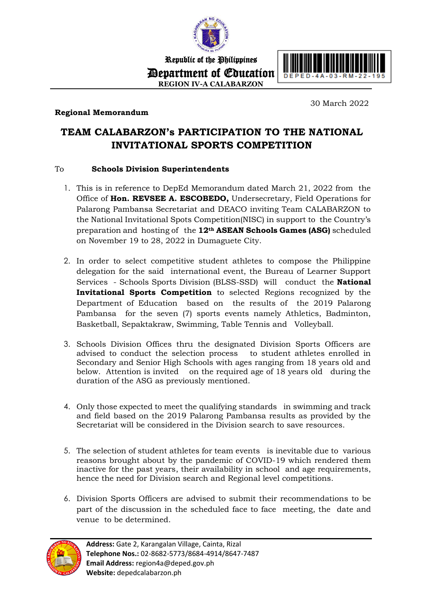

Republic of the Philippines Department of Education **REGION IV-A CALABARZON**





30 March 2022

## **TEAM CALABARZON's PARTICIPATION TO THE NATIONAL INVITATIONAL SPORTS COMPETITION**

## To **Schools Division Superintendents**

- 1. This is in reference to DepEd Memorandum dated March 21, 2022 from the Office of **Hon. REVSEE A. ESCOBEDO,** Undersecretary, Field Operations for Palarong Pambansa Secretariat and DEACO inviting Team CALABARZON to the National Invitational Spots Competition(NISC) in support to the Country's preparation and hosting of the **12th ASEAN Schools Games (ASG)** scheduled on November 19 to 28, 2022 in Dumaguete City.
- 2. In order to select competitive student athletes to compose the Philippine delegation for the said international event, the Bureau of Learner Support Services - Schools Sports Division (BLSS-SSD) will conduct the **National Invitational Sports Competition** to selected Regions recognized by the Department of Education based on the results of the 2019 Palarong Pambansa for the seven (7) sports events namely Athletics, Badminton, Basketball, Sepaktakraw, Swimming, Table Tennis and Volleyball.
- 3. Schools Division Offices thru the designated Division Sports Officers are advised to conduct the selection process to student athletes enrolled in Secondary and Senior High Schools with ages ranging from 18 years old and below. Attention is invited on the required age of 18 years old during the duration of the ASG as previously mentioned.
- 4. Only those expected to meet the qualifying standards in swimming and track and field based on the 2019 Palarong Pambansa results as provided by the Secretariat will be considered in the Division search to save resources.
- 5. The selection of student athletes for team events is inevitable due to various reasons brought about by the pandemic of COVID-19 which rendered them inactive for the past years, their availability in school and age requirements, hence the need for Division search and Regional level competitions.
- 6. Division Sports Officers are advised to submit their recommendations to be part of the discussion in the scheduled face to face meeting, the date and venue to be determined.